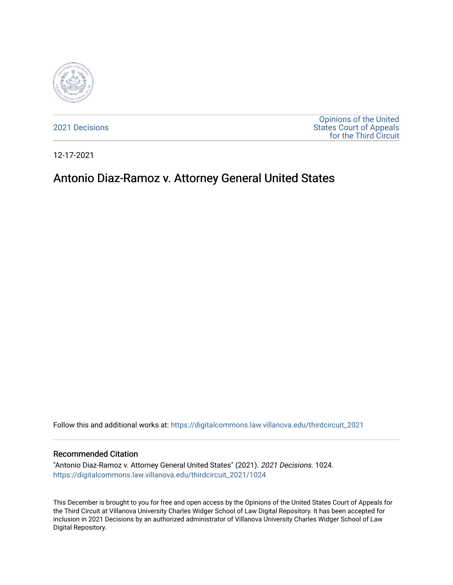

[2021 Decisions](https://digitalcommons.law.villanova.edu/thirdcircuit_2021)

[Opinions of the United](https://digitalcommons.law.villanova.edu/thirdcircuit)  [States Court of Appeals](https://digitalcommons.law.villanova.edu/thirdcircuit)  [for the Third Circuit](https://digitalcommons.law.villanova.edu/thirdcircuit) 

12-17-2021

# Antonio Diaz-Ramoz v. Attorney General United States

Follow this and additional works at: [https://digitalcommons.law.villanova.edu/thirdcircuit\\_2021](https://digitalcommons.law.villanova.edu/thirdcircuit_2021?utm_source=digitalcommons.law.villanova.edu%2Fthirdcircuit_2021%2F1024&utm_medium=PDF&utm_campaign=PDFCoverPages) 

#### Recommended Citation

"Antonio Diaz-Ramoz v. Attorney General United States" (2021). 2021 Decisions. 1024. [https://digitalcommons.law.villanova.edu/thirdcircuit\\_2021/1024](https://digitalcommons.law.villanova.edu/thirdcircuit_2021/1024?utm_source=digitalcommons.law.villanova.edu%2Fthirdcircuit_2021%2F1024&utm_medium=PDF&utm_campaign=PDFCoverPages) 

This December is brought to you for free and open access by the Opinions of the United States Court of Appeals for the Third Circuit at Villanova University Charles Widger School of Law Digital Repository. It has been accepted for inclusion in 2021 Decisions by an authorized administrator of Villanova University Charles Widger School of Law Digital Repository.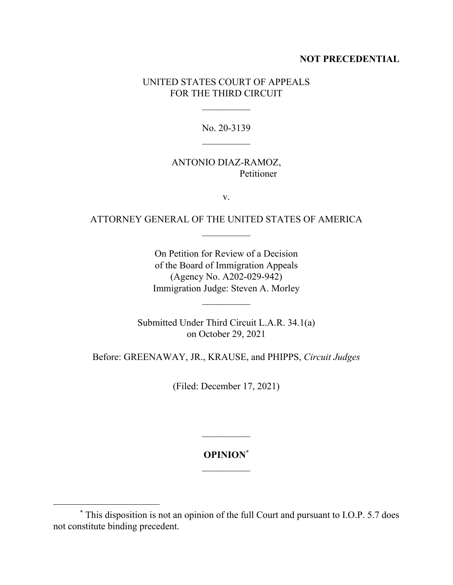## **NOT PRECEDENTIAL**

## UNITED STATES COURT OF APPEALS FOR THE THIRD CIRCUIT

 $\frac{1}{2}$ 

No. 20-3139  $\frac{1}{2}$ 

### ANTONIO DIAZ-RAMOZ, Petitioner

v.

# ATTORNEY GENERAL OF THE UNITED STATES OF AMERICA

On Petition for Review of a Decision of the Board of Immigration Appeals (Agency No. A202-029-942) Immigration Judge: Steven A. Morley

Submitted Under Third Circuit L.A.R. 34.1(a) on October 29, 2021

Before: GREENAWAY, JR., KRAUSE, and PHIPPS, *Circuit Judges*

(Filed: December 17, 2021)

**OPINION**\*  $\mathcal{L}_\text{max}$ 

 $\mathcal{L}_\text{max}$ 

<sup>\*</sup> This disposition is not an opinion of the full Court and pursuant to I.O.P. 5.7 does not constitute binding precedent.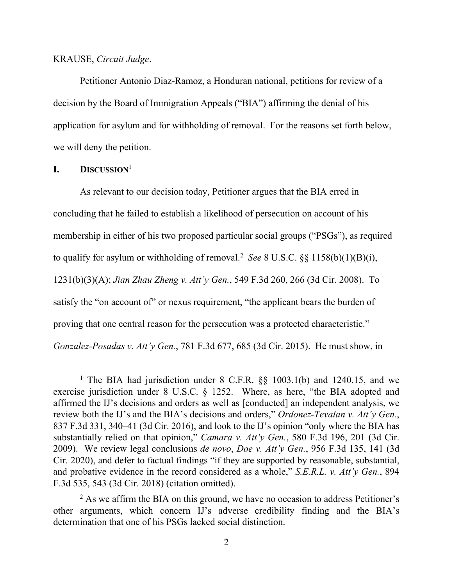#### KRAUSE, *Circuit Judge*.

Petitioner Antonio Diaz-Ramoz, a Honduran national, petitions for review of a decision by the Board of Immigration Appeals ("BIA") affirming the denial of his application for asylum and for withholding of removal. For the reasons set forth below, we will deny the petition.

# **I. DISCUSSION**<sup>1</sup>

As relevant to our decision today, Petitioner argues that the BIA erred in concluding that he failed to establish a likelihood of persecution on account of his membership in either of his two proposed particular social groups ("PSGs"), as required to qualify for asylum or withholding of removal.<sup>2</sup> See 8 U.S.C.  $\S$ § 1158(b)(1)(B)(i), 1231(b)(3)(A); *Jian Zhau Zheng v. Att'y Gen.*, 549 F.3d 260, 266 (3d Cir. 2008). To satisfy the "on account of" or nexus requirement, "the applicant bears the burden of proving that one central reason for the persecution was a protected characteristic." *Gonzalez-Posadas v. Att'y Gen.*, 781 F.3d 677, 685 (3d Cir. 2015). He must show, in

<sup>&</sup>lt;sup>1</sup> The BIA had jurisdiction under 8 C.F.R. §§ 1003.1(b) and 1240.15, and we exercise jurisdiction under 8 U.S.C. § 1252. Where, as here, "the BIA adopted and affirmed the IJ's decisions and orders as well as [conducted] an independent analysis, we review both the IJ's and the BIA's decisions and orders," *Ordonez-Tevalan v. Att'y Gen.*, 837 F.3d 331, 340–41 (3d Cir. 2016), and look to the IJ's opinion "only where the BIA has substantially relied on that opinion," *Camara v. Att'y Gen.*, 580 F.3d 196, 201 (3d Cir. 2009). We review legal conclusions *de novo*, *Doe v. Att'y Gen.*, 956 F.3d 135, 141 (3d Cir. 2020), and defer to factual findings "if they are supported by reasonable, substantial, and probative evidence in the record considered as a whole," *S.E.R.L. v. Att'y Gen.*, 894 F.3d 535, 543 (3d Cir. 2018) (citation omitted).

<sup>&</sup>lt;sup>2</sup> As we affirm the BIA on this ground, we have no occasion to address Petitioner's other arguments, which concern IJ's adverse credibility finding and the BIA's determination that one of his PSGs lacked social distinction.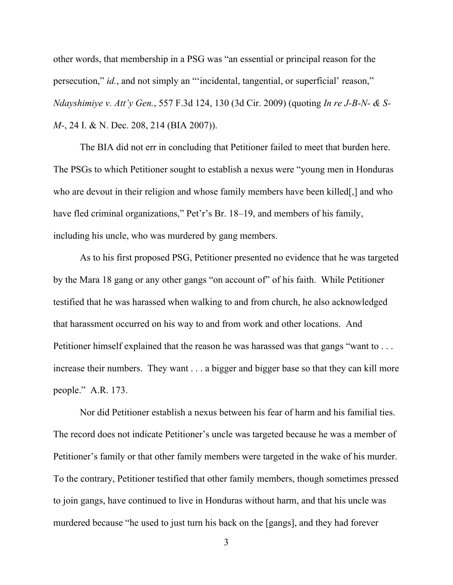other words, that membership in a PSG was "an essential or principal reason for the persecution," *id.*, and not simply an "'incidental, tangential, or superficial' reason," *Ndayshimiye v. Att'y Gen.*, 557 F.3d 124, 130 (3d Cir. 2009) (quoting *In re J-B-N- & S-M*-, 24 I. & N. Dec. 208, 214 (BIA 2007)).

The BIA did not err in concluding that Petitioner failed to meet that burden here. The PSGs to which Petitioner sought to establish a nexus were "young men in Honduras who are devout in their religion and whose family members have been killed. and who have fled criminal organizations," Pet'r's Br. 18–19, and members of his family, including his uncle, who was murdered by gang members.

As to his first proposed PSG, Petitioner presented no evidence that he was targeted by the Mara 18 gang or any other gangs "on account of" of his faith. While Petitioner testified that he was harassed when walking to and from church, he also acknowledged that harassment occurred on his way to and from work and other locations. And Petitioner himself explained that the reason he was harassed was that gangs "want to ... increase their numbers. They want . . . a bigger and bigger base so that they can kill more people." A.R. 173.

Nor did Petitioner establish a nexus between his fear of harm and his familial ties. The record does not indicate Petitioner's uncle was targeted because he was a member of Petitioner's family or that other family members were targeted in the wake of his murder. To the contrary, Petitioner testified that other family members, though sometimes pressed to join gangs, have continued to live in Honduras without harm, and that his uncle was murdered because "he used to just turn his back on the [gangs], and they had forever

3